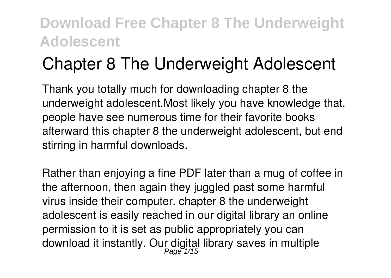# **Chapter 8 The Underweight Adolescent**

Thank you totally much for downloading **chapter 8 the underweight adolescent**.Most likely you have knowledge that, people have see numerous time for their favorite books afterward this chapter 8 the underweight adolescent, but end stirring in harmful downloads.

Rather than enjoying a fine PDF later than a mug of coffee in the afternoon, then again they juggled past some harmful virus inside their computer. **chapter 8 the underweight adolescent** is easily reached in our digital library an online permission to it is set as public appropriately you can download it instantly. Our digital library saves in multiple Page 1/15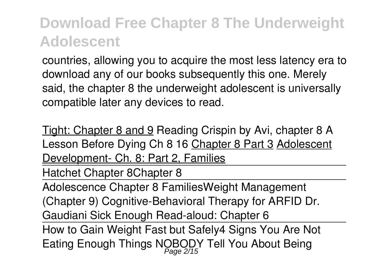countries, allowing you to acquire the most less latency era to download any of our books subsequently this one. Merely said, the chapter 8 the underweight adolescent is universally compatible later any devices to read.

Tight: Chapter 8 and 9 Reading Crispin by Avi, chapter 8 **A Lesson Before Dying Ch 8 16** Chapter 8 Part 3 Adolescent Development- Ch. 8: Part 2, Families

Hatchet Chapter 8*Chapter 8*

Adolescence Chapter 8 Families**Weight Management (Chapter 9) Cognitive-Behavioral Therapy for ARFID Dr. Gaudiani Sick Enough Read-aloud: Chapter 6**

How to Gain Weight Fast but Safely*4 Signs You Are Not Eating Enough* **Things NOBODY Tell You About Being** Page 2/15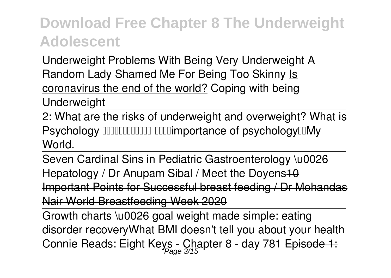**Underweight** Problems With Being Very Underweight A Random Lady Shamed Me For Being Too Skinny Is coronavirus the end of the world? **Coping with being Underweight**

2: What are the risks of underweight and overweight? What is Psychology IIIIIIIIIIIIIIIIIII IIIIIimportance of psychologyIIIMy World.

Seven Cardinal Sins in Pediatric Gastroenterology \u0026 Hepatology / Dr Anupam Sibal / Meet the Doyens 10 Important Points for Successful breast feeding / Dr Mohandas Nair World Breastfeeding Week 2020

Growth charts \u0026 goal weight made simple: eating disorder recovery*What BMI doesn't tell you about your health Connie Reads: Eight Keys - Chapter 8 - day 781* Episode 1: Page 3/15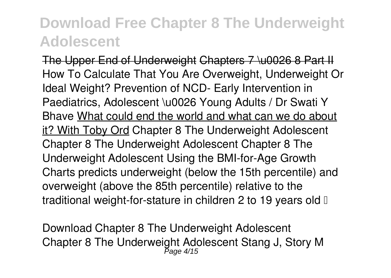The Upper End of Underweight Chapters 7 \u0026 8 Part II *How To Calculate That You Are Overweight, Underweight Or Ideal Weight? Prevention of NCD- Early Intervention in Paediatrics, Adolescent \u0026 Young Adults / Dr Swati Y Bhave* What could end the world and what can we do about it? With Toby Ord *Chapter 8 The Underweight Adolescent* Chapter 8 The Underweight Adolescent Chapter 8 The Underweight Adolescent Using the BMI-for-Age Growth Charts predicts underweight (below the 15th percentile) and overweight (above the 85th percentile) relative to the traditional weight-for-stature in children 2 to 19 years old I

*Download Chapter 8 The Underweight Adolescent* Chapter 8 The Underweight Adolescent Stang J, Story M Page 4/15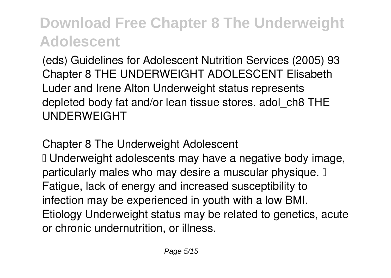(eds) Guidelines for Adolescent Nutrition Services (2005) 93 Chapter 8 THE UNDERWEIGHT ADOLESCENT Elisabeth Luder and Irene Alton Underweight status represents depleted body fat and/or lean tissue stores. adol\_ch8 THE UNDERWEIGHT

*Chapter 8 The Underweight Adolescent*

I Underweight adolescents may have a negative body image, particularly males who may desire a muscular physique. I Fatigue, lack of energy and increased susceptibility to infection may be experienced in youth with a low BMI. Etiology Underweight status may be related to genetics, acute or chronic undernutrition, or illness.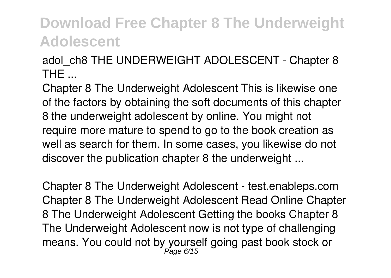*adol\_ch8 THE UNDERWEIGHT ADOLESCENT - Chapter 8 THE ...*

Chapter 8 The Underweight Adolescent This is likewise one of the factors by obtaining the soft documents of this chapter 8 the underweight adolescent by online. You might not require more mature to spend to go to the book creation as well as search for them. In some cases, you likewise do not discover the publication chapter 8 the underweight ...

*Chapter 8 The Underweight Adolescent - test.enableps.com* Chapter 8 The Underweight Adolescent Read Online Chapter 8 The Underweight Adolescent Getting the books Chapter 8 The Underweight Adolescent now is not type of challenging means. You could not by yourself going past book stock or Page 6/15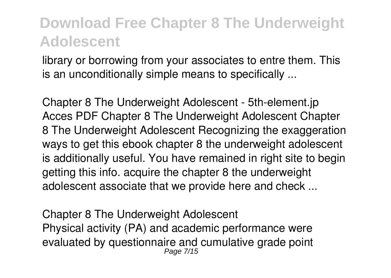library or borrowing from your associates to entre them. This is an unconditionally simple means to specifically ...

*Chapter 8 The Underweight Adolescent - 5th-element.jp* Acces PDF Chapter 8 The Underweight Adolescent Chapter 8 The Underweight Adolescent Recognizing the exaggeration ways to get this ebook chapter 8 the underweight adolescent is additionally useful. You have remained in right site to begin getting this info. acquire the chapter 8 the underweight adolescent associate that we provide here and check ...

*Chapter 8 The Underweight Adolescent* Physical activity (PA) and academic performance were evaluated by questionnaire and cumulative grade point Page 7/15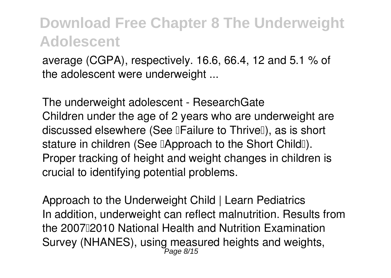average (CGPA), respectively. 16.6, 66.4, 12 and 5.1 % of the adolescent were underweight ...

*The underweight adolescent - ResearchGate* Children under the age of 2 years who are underweight are discussed elsewhere (See **Failure** to Thrive I), as is short stature in children (See **Approach** to the Short Child<sup>[]</sup>). Proper tracking of height and weight changes in children is crucial to identifying potential problems.

*Approach to the Underweight Child | Learn Pediatrics* In addition, underweight can reflect malnutrition. Results from the 200712010 National Health and Nutrition Examination Survey (NHANES), using measured heights and weights,<br>Page 8/15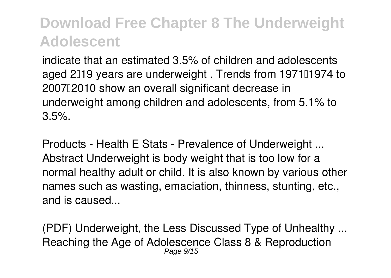indicate that an estimated 3.5% of children and adolescents aged 2019 years are underweight. Trends from 197101974 to 2007–2010 show an overall significant decrease in underweight among children and adolescents, from 5.1% to 3.5%.

*Products - Health E Stats - Prevalence of Underweight ...* Abstract Underweight is body weight that is too low for a normal healthy adult or child. It is also known by various other names such as wasting, emaciation, thinness, stunting, etc., and is caused...

*(PDF) Underweight, the Less Discussed Type of Unhealthy ...* Reaching the Age of Adolescence Class 8 & Reproduction Page 9/15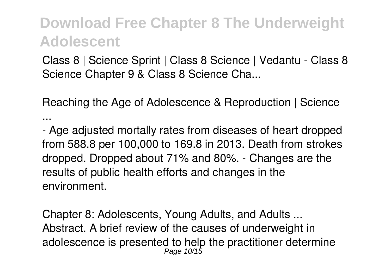Class 8 | Science Sprint | Class 8 Science | Vedantu - Class 8 Science Chapter 9 & Class 8 Science Cha...

*Reaching the Age of Adolescence & Reproduction | Science ...*

- Age adjusted mortally rates from diseases of heart dropped from 588.8 per 100,000 to 169.8 in 2013. Death from strokes dropped. Dropped about 71% and 80%. - Changes are the results of public health efforts and changes in the environment.

*Chapter 8: Adolescents, Young Adults, and Adults ...* Abstract. A brief review of the causes of underweight in adolescence is presented to help the practitioner determine Page 10/15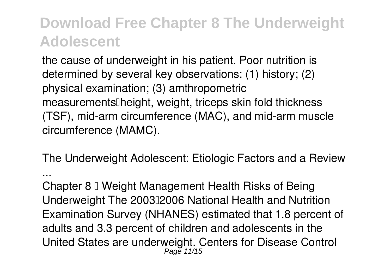the cause of underweight in his patient. Poor nutrition is determined by several key observations: (1) history; (2) physical examination; (3) amthropometric measurements Theight, weight, triceps skin fold thickness (TSF), mid-arm circumference (MAC), and mid-arm muscle circumference (MAMC).

*The Underweight Adolescent: Etiologic Factors and a Review*

*...*

Chapter 8  $\mathbb I$  Weight Management Health Risks of Being Underweight The 200302006 National Health and Nutrition Examination Survey (NHANES) estimated that 1.8 percent of adults and 3.3 percent of children and adolescents in the United States are underweight. Centers for Disease Control Page 11/15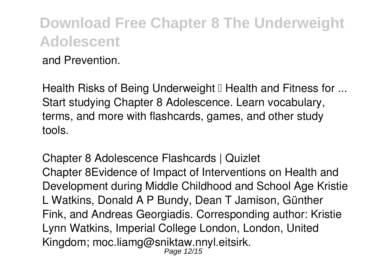and Prevention.

*Health Risks of Being Underweight – Health and Fitness for ...* Start studying Chapter 8 Adolescence. Learn vocabulary, terms, and more with flashcards, games, and other study tools.

*Chapter 8 Adolescence Flashcards | Quizlet* Chapter 8Evidence of Impact of Interventions on Health and Development during Middle Childhood and School Age Kristie L Watkins, Donald A P Bundy, Dean T Jamison, Günther Fink, and Andreas Georgiadis. Corresponding author: Kristie Lynn Watkins, Imperial College London, London, United Kingdom; moc.liamg@sniktaw.nnyl.eitsirk. Page 12/15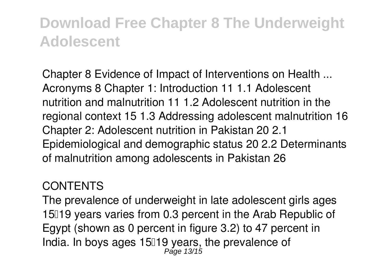*Chapter 8 Evidence of Impact of Interventions on Health ...* Acronyms 8 Chapter 1: Introduction 11 1.1 Adolescent nutrition and malnutrition 11 1.2 Adolescent nutrition in the regional context 15 1.3 Addressing adolescent malnutrition 16 Chapter 2: Adolescent nutrition in Pakistan 20 2.1 Epidemiological and demographic status 20 2.2 Determinants of malnutrition among adolescents in Pakistan 26

#### *CONTENTS*

The prevalence of underweight in late adolescent girls ages 15019 years varies from 0.3 percent in the Arab Republic of Egypt (shown as 0 percent in figure 3.2) to 47 percent in India. In boys ages 15□19 years, the prevalence of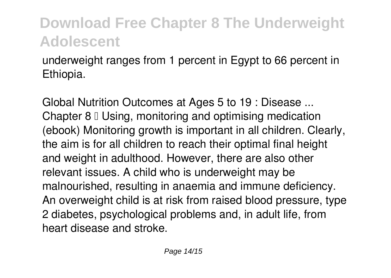underweight ranges from 1 percent in Egypt to 66 percent in Ethiopia.

*Global Nutrition Outcomes at Ages 5 to 19 : Disease ...* Chapter  $8 \mathbb{I}$  Using, monitoring and optimising medication (ebook) Monitoring growth is important in all children. Clearly, the aim is for all children to reach their optimal final height and weight in adulthood. However, there are also other relevant issues. A child who is underweight may be malnourished, resulting in anaemia and immune deficiency. An overweight child is at risk from raised blood pressure, type 2 diabetes, psychological problems and, in adult life, from heart disease and stroke.